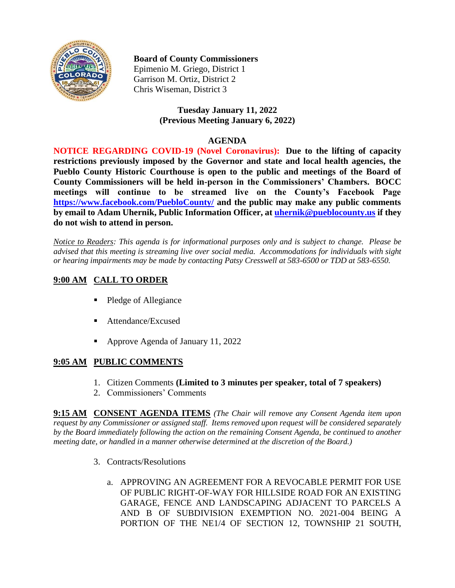

### **Board of County Commissioners**

Epimenio M. Griego, District 1 Garrison M. Ortiz, District 2 Chris Wiseman, District 3

#### **Tuesday January 11, 2022 (Previous Meeting January 6, 2022)**

#### **AGENDA**

**NOTICE REGARDING COVID-19 (Novel Coronavirus): Due to the lifting of capacity restrictions previously imposed by the Governor and state and local health agencies, the Pueblo County Historic Courthouse is open to the public and meetings of the Board of County Commissioners will be held in-person in the Commissioners' Chambers. BOCC meetings will continue to be streamed live on the County's Facebook Page <https://www.facebook.com/PuebloCounty/> and the public may make any public comments by email to Adam Uhernik, Public Information Officer, at [uhernik@pueblocounty.us](mailto:uhernik@pueblocounty.us) if they do not wish to attend in person.**

*Notice to Readers: This agenda is for informational purposes only and is subject to change. Please be advised that this meeting is streaming live over social media. Accommodations for individuals with sight or hearing impairments may be made by contacting Patsy Cresswell at 583-6500 or TDD at 583-6550.* 

# **9:00 AM CALL TO ORDER**

- Pledge of Allegiance
- Attendance/Excused
- Approve Agenda of January 11, 2022

### **9:05 AM PUBLIC COMMENTS**

- 1. Citizen Comments **(Limited to 3 minutes per speaker, total of 7 speakers)**
- 2. Commissioners' Comments

**9:15 AM CONSENT AGENDA ITEMS** *(The Chair will remove any Consent Agenda item upon request by any Commissioner or assigned staff. Items removed upon request will be considered separately by the Board immediately following the action on the remaining Consent Agenda, be continued to another meeting date, or handled in a manner otherwise determined at the discretion of the Board.)*

- 3. Contracts/Resolutions
	- a. APPROVING AN AGREEMENT FOR A REVOCABLE PERMIT FOR USE OF PUBLIC RIGHT-OF-WAY FOR HILLSIDE ROAD FOR AN EXISTING GARAGE, FENCE AND LANDSCAPING ADJACENT TO PARCELS A AND B OF SUBDIVISION EXEMPTION NO. 2021-004 BEING A PORTION OF THE NE1/4 OF SECTION 12, TOWNSHIP 21 SOUTH,